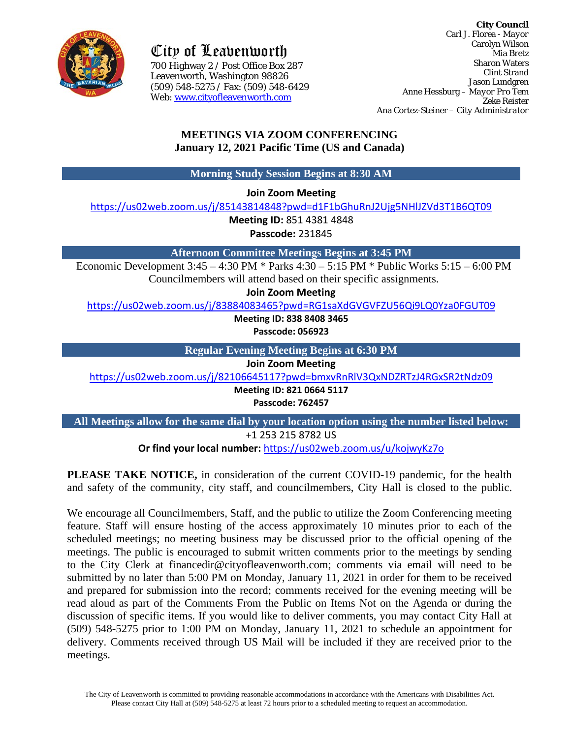

City of Leavenworth

700 Highway 2 / Post Office Box 287 700 Highway 2 / Post Office Box 287Leavenworth, Washington 98826 (509) 548-5275 / Fax: (509) 548-6429 Web: [www.cityofleavenworth.com](http://www.cityofleavenworth.com/)

**City Council** Carl J. Florea - *Mayor* Carolyn Wilson Mia Bretz Sharon Waters Clint Strand Jason Lundgren Anne Hessburg – *Mayor Pro Tem* Zeke Reister Ana Cortez-Steiner – *City Administrator*

# **MEETINGS VIA ZOOM CONFERENCING January 12, 2021 Pacific Time (US and Canada)**

**Morning Study Session Begins at 8:30 AM**

**Join Zoom Meeting**

<https://us02web.zoom.us/j/85143814848?pwd=d1F1bGhuRnJ2Ujg5NHlJZVd3T1B6QT09>

**Meeting ID:** 851 4381 4848

**Passcode:** 231845

**Afternoon Committee Meetings Begins at 3:45 PM**

Economic Development 3:45 – 4:30 PM \* Parks 4:30 – 5:15 PM \* Public Works 5:15 – 6:00 PM Councilmembers will attend based on their specific assignments.

**Join Zoom Meeting** 

<https://us02web.zoom.us/j/83884083465?pwd=RG1saXdGVGVFZU56Qi9LQ0Yza0FGUT09>

**Meeting ID: 838 8408 3465**

**Passcode: 056923**

**Regular Evening Meeting Begins at 6:30 PM**

**Join Zoom Meeting** 

<https://us02web.zoom.us/j/82106645117?pwd=bmxvRnRlV3QxNDZRTzJ4RGxSR2tNdz09>

**Meeting ID: 821 0664 5117**

**Passcode: 762457**

**All Meetings allow for the same dial by your location option using the number listed below:** +1 253 215 8782 US

**Or find your local number:** <https://us02web.zoom.us/u/kojwyKz7o>

**PLEASE TAKE NOTICE,** in consideration of the current COVID-19 pandemic, for the health and safety of the community, city staff, and councilmembers, City Hall is closed to the public.

We encourage all Councilmembers, Staff, and the public to utilize the Zoom Conferencing meeting feature. Staff will ensure hosting of the access approximately 10 minutes prior to each of the scheduled meetings; no meeting business may be discussed prior to the official opening of the meetings. The public is encouraged to submit written comments prior to the meetings by sending to the City Clerk at [financedir@cityofleavenworth.com;](mailto:financedir@cityofleavenworth.com) comments via email will need to be submitted by no later than 5:00 PM on Monday, January 11, 2021 in order for them to be received and prepared for submission into the record; comments received for the evening meeting will be read aloud as part of the Comments From the Public on Items Not on the Agenda or during the discussion of specific items. If you would like to deliver comments, you may contact City Hall at (509) 548-5275 prior to 1:00 PM on Monday, January 11, 2021 to schedule an appointment for delivery. Comments received through US Mail will be included if they are received prior to the meetings.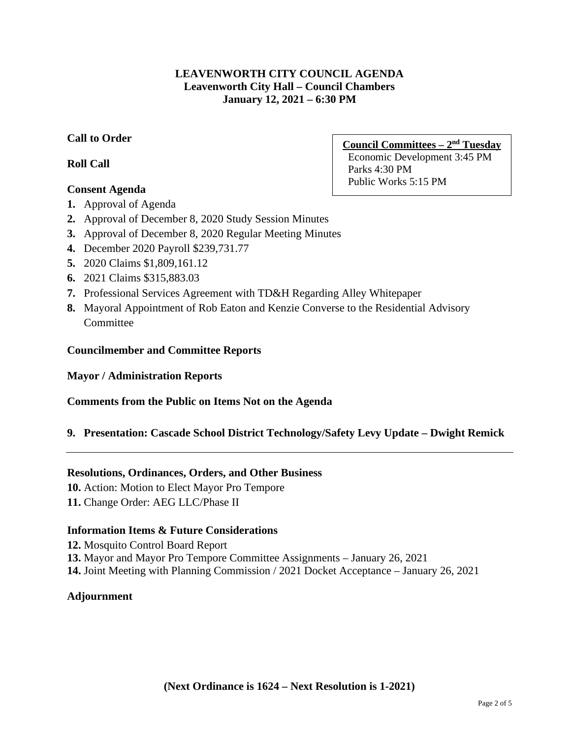## **LEAVENWORTH CITY COUNCIL AGENDA Leavenworth City Hall – Council Chambers January 12, 2021 – 6:30 PM**

# **Call to Order**

# **Roll Call**

# **Consent Agenda**

- **1.** Approval of Agenda
- **2.** Approval of December 8, 2020 Study Session Minutes
- **3.** Approval of December 8, 2020 Regular Meeting Minutes
- **4.** December 2020 Payroll \$239,731.77
- **5.** 2020 Claims \$1,809,161.12
- **6.** 2021 Claims \$315,883.03
- **7.** Professional Services Agreement with TD&H Regarding Alley Whitepaper
- **8.** Mayoral Appointment of Rob Eaton and Kenzie Converse to the Residential Advisory **Committee**

### **Councilmember and Committee Reports**

## **Mayor / Administration Reports**

## **Comments from the Public on Items Not on the Agenda**

## **9. Presentation: Cascade School District Technology/Safety Levy Update – Dwight Remick**

### **Resolutions, Ordinances, Orders, and Other Business**

**10.** Action: Motion to Elect Mayor Pro Tempore

**11.** Change Order: AEG LLC/Phase II

## **Information Items & Future Considerations**

**12.** Mosquito Control Board Report **13.** Mayor and Mayor Pro Tempore Committee Assignments – January 26, 2021 **14.** Joint Meeting with Planning Commission / 2021 Docket Acceptance – January 26, 2021

## **Adjournment**

**Council Committees – 2nd Tuesday** Economic Development 3:45 PM Parks 4:30 PM Public Works 5:15 PM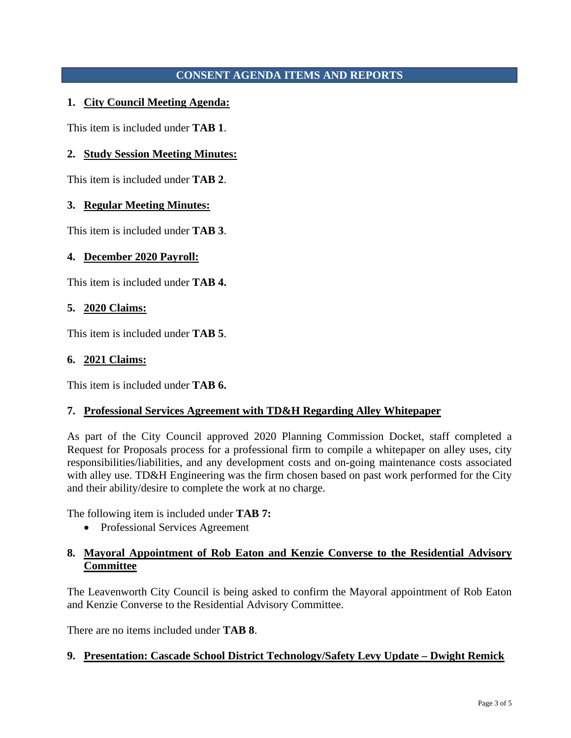## **CONSENT AGENDA ITEMS AND REPORTS**

### **1. City Council Meeting Agenda:**

This item is included under **TAB 1**.

### **2. Study Session Meeting Minutes:**

This item is included under **TAB 2**.

### **3. Regular Meeting Minutes:**

This item is included under **TAB 3**.

### **4. December 2020 Payroll:**

This item is included under **TAB 4.**

#### **5. 2020 Claims:**

This item is included under **TAB 5**.

#### **6. 2021 Claims:**

This item is included under **TAB 6.**

### **7. Professional Services Agreement with TD&H Regarding Alley Whitepaper**

As part of the City Council approved 2020 Planning Commission Docket, staff completed a Request for Proposals process for a professional firm to compile a whitepaper on alley uses, city responsibilities/liabilities, and any development costs and on-going maintenance costs associated with alley use. TD&H Engineering was the firm chosen based on past work performed for the City and their ability/desire to complete the work at no charge.

The following item is included under **TAB 7:**

• Professional Services Agreement

### **8. Mayoral Appointment of Rob Eaton and Kenzie Converse to the Residential Advisory Committee**

The Leavenworth City Council is being asked to confirm the Mayoral appointment of Rob Eaton and Kenzie Converse to the Residential Advisory Committee.

There are no items included under **TAB 8**.

### **9. Presentation: Cascade School District Technology/Safety Levy Update – Dwight Remick**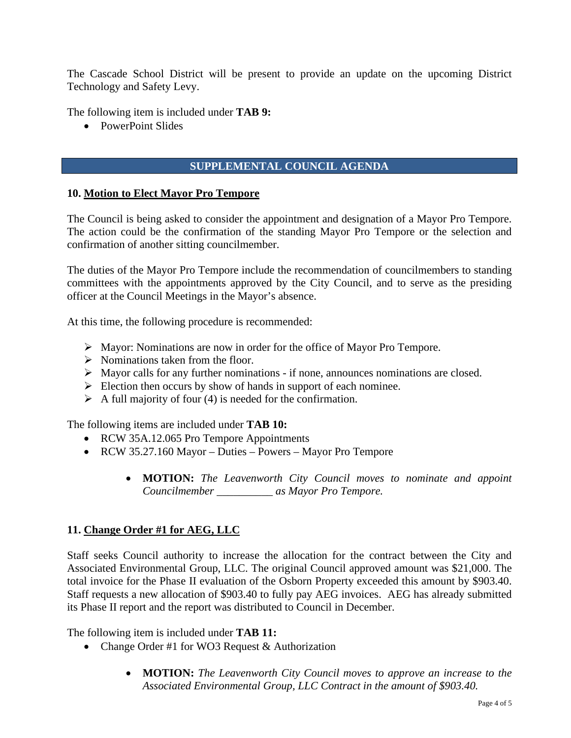The Cascade School District will be present to provide an update on the upcoming District Technology and Safety Levy.

The following item is included under **TAB 9:**

• PowerPoint Slides

### **SUPPLEMENTAL COUNCIL AGENDA**

#### **10. Motion to Elect Mayor Pro Tempore**

The Council is being asked to consider the appointment and designation of a Mayor Pro Tempore. The action could be the confirmation of the standing Mayor Pro Tempore or the selection and confirmation of another sitting councilmember.

The duties of the Mayor Pro Tempore include the recommendation of councilmembers to standing committees with the appointments approved by the City Council, and to serve as the presiding officer at the Council Meetings in the Mayor's absence.

At this time, the following procedure is recommended:

- $\triangleright$  Mayor: Nominations are now in order for the office of Mayor Pro Tempore.
- $\triangleright$  Nominations taken from the floor.
- $\triangleright$  Mayor calls for any further nominations if none, announces nominations are closed.
- $\triangleright$  Election then occurs by show of hands in support of each nominee.
- $\triangleright$  A full majority of four (4) is needed for the confirmation.

The following items are included under **TAB 10:**

- RCW 35A.12.065 Pro Tempore Appointments
- RCW 35.27.160 Mayor Duties Powers Mayor Pro Tempore
	- **MOTION:** *The Leavenworth City Council moves to nominate and appoint Councilmember \_\_\_\_\_\_\_\_\_\_ as Mayor Pro Tempore.*

### **11. Change Order #1 for AEG, LLC**

Staff seeks Council authority to increase the allocation for the contract between the City and Associated Environmental Group, LLC. The original Council approved amount was \$21,000. The total invoice for the Phase II evaluation of the Osborn Property exceeded this amount by \$903.40. Staff requests a new allocation of \$903.40 to fully pay AEG invoices. AEG has already submitted its Phase II report and the report was distributed to Council in December.

The following item is included under **TAB 11:** 

- Change Order #1 for WO3 Request & Authorization
	- **MOTION:** *The Leavenworth City Council moves to approve an increase to the Associated Environmental Group, LLC Contract in the amount of \$903.40.*